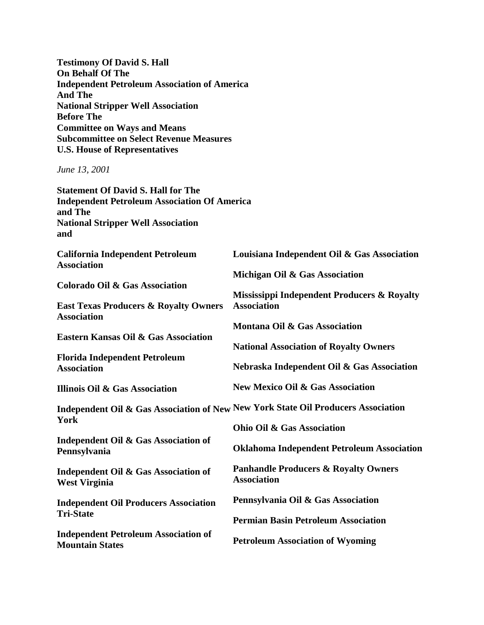**Testimony Of David S. Hall On Behalf Of The Independent Petroleum Association of America And The National Stripper Well Association Before The Committee on Ways and Means Subcommittee on Select Revenue Measures U.S. House of Representatives**

*June 13, 2001*

**Statement Of David S. Hall for The Independent Petroleum Association Of America and The National Stripper Well Association and**

| <b>California Independent Petroleum</b><br><b>Association</b>          | Louisiana Independent Oil & Gas Association                                       |
|------------------------------------------------------------------------|-----------------------------------------------------------------------------------|
|                                                                        | Michigan Oil & Gas Association                                                    |
| <b>Colorado Oil &amp; Gas Association</b>                              | Mississippi Independent Producers & Royalty                                       |
| <b>East Texas Producers &amp; Royalty Owners</b><br><b>Association</b> | <b>Association</b>                                                                |
| <b>Eastern Kansas Oil &amp; Gas Association</b>                        | Montana Oil & Gas Association                                                     |
|                                                                        | <b>National Association of Royalty Owners</b>                                     |
| <b>Florida Independent Petroleum</b><br><b>Association</b>             | Nebraska Independent Oil & Gas Association                                        |
| Illinois Oil & Gas Association                                         | <b>New Mexico Oil &amp; Gas Association</b>                                       |
| York                                                                   | Independent Oil & Gas Association of New New York State Oil Producers Association |
|                                                                        | <b>Ohio Oil &amp; Gas Association</b>                                             |
| Independent Oil & Gas Association of<br>Pennsylvania                   | <b>Oklahoma Independent Petroleum Association</b>                                 |
| Independent Oil & Gas Association of<br><b>West Virginia</b>           | <b>Panhandle Producers &amp; Royalty Owners</b><br><b>Association</b>             |
| <b>Independent Oil Producers Association</b>                           | Pennsylvania Oil & Gas Association                                                |
| <b>Tri-State</b>                                                       | <b>Permian Basin Petroleum Association</b>                                        |
| <b>Independent Petroleum Association of</b><br><b>Mountain States</b>  | <b>Petroleum Association of Wyoming</b>                                           |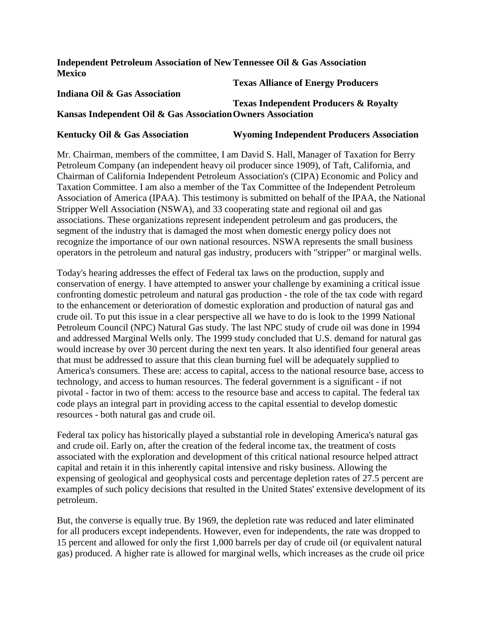#### **Independent Petroleum Association of New Tennessee Oil & Gas Association Mexico**

#### **Indiana Oil & Gas Association**

## **Texas Alliance of Energy Producers**

## **Kansas Independent Oil & Gas Association Owners Association Texas Independent Producers & Royalty**

#### **Kentucky Oil & Gas Association Wyoming Independent Producers Association**

Mr. Chairman, members of the committee, I am David S. Hall, Manager of Taxation for Berry Petroleum Company (an independent heavy oil producer since 1909), of Taft, California, and Chairman of California Independent Petroleum Association's (CIPA) Economic and Policy and Taxation Committee. I am also a member of the Tax Committee of the Independent Petroleum Association of America (IPAA). This testimony is submitted on behalf of the IPAA, the National Stripper Well Association (NSWA), and 33 cooperating state and regional oil and gas associations. These organizations represent independent petroleum and gas producers, the segment of the industry that is damaged the most when domestic energy policy does not recognize the importance of our own national resources. NSWA represents the small business operators in the petroleum and natural gas industry, producers with "stripper" or marginal wells.

Today's hearing addresses the effect of Federal tax laws on the production, supply and conservation of energy. I have attempted to answer your challenge by examining a critical issue confronting domestic petroleum and natural gas production - the role of the tax code with regard to the enhancement or deterioration of domestic exploration and production of natural gas and crude oil. To put this issue in a clear perspective all we have to do is look to the 1999 National Petroleum Council (NPC) Natural Gas study. The last NPC study of crude oil was done in 1994 and addressed Marginal Wells only. The 1999 study concluded that U.S. demand for natural gas would increase by over 30 percent during the next ten years. It also identified four general areas that must be addressed to assure that this clean burning fuel will be adequately supplied to America's consumers. These are: access to capital, access to the national resource base, access to technology, and access to human resources. The federal government is a significant - if not pivotal - factor in two of them: access to the resource base and access to capital. The federal tax code plays an integral part in providing access to the capital essential to develop domestic resources - both natural gas and crude oil.

Federal tax policy has historically played a substantial role in developing America's natural gas and crude oil. Early on, after the creation of the federal income tax, the treatment of costs associated with the exploration and development of this critical national resource helped attract capital and retain it in this inherently capital intensive and risky business. Allowing the expensing of geological and geophysical costs and percentage depletion rates of 27.5 percent are examples of such policy decisions that resulted in the United States' extensive development of its petroleum.

But, the converse is equally true. By 1969, the depletion rate was reduced and later eliminated for all producers except independents. However, even for independents, the rate was dropped to 15 percent and allowed for only the first 1,000 barrels per day of crude oil (or equivalent natural gas) produced. A higher rate is allowed for marginal wells, which increases as the crude oil price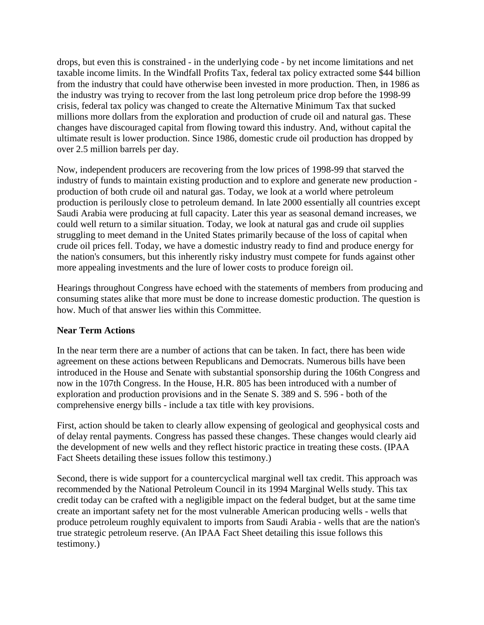drops, but even this is constrained - in the underlying code - by net income limitations and net taxable income limits. In the Windfall Profits Tax, federal tax policy extracted some \$44 billion from the industry that could have otherwise been invested in more production. Then, in 1986 as the industry was trying to recover from the last long petroleum price drop before the 1998-99 crisis, federal tax policy was changed to create the Alternative Minimum Tax that sucked millions more dollars from the exploration and production of crude oil and natural gas. These changes have discouraged capital from flowing toward this industry. And, without capital the ultimate result is lower production. Since 1986, domestic crude oil production has dropped by over 2.5 million barrels per day.

Now, independent producers are recovering from the low prices of 1998-99 that starved the industry of funds to maintain existing production and to explore and generate new production production of both crude oil and natural gas. Today, we look at a world where petroleum production is perilously close to petroleum demand. In late 2000 essentially all countries except Saudi Arabia were producing at full capacity. Later this year as seasonal demand increases, we could well return to a similar situation. Today, we look at natural gas and crude oil supplies struggling to meet demand in the United States primarily because of the loss of capital when crude oil prices fell. Today, we have a domestic industry ready to find and produce energy for the nation's consumers, but this inherently risky industry must compete for funds against other more appealing investments and the lure of lower costs to produce foreign oil.

Hearings throughout Congress have echoed with the statements of members from producing and consuming states alike that more must be done to increase domestic production. The question is how. Much of that answer lies within this Committee.

#### **Near Term Actions**

In the near term there are a number of actions that can be taken. In fact, there has been wide agreement on these actions between Republicans and Democrats. Numerous bills have been introduced in the House and Senate with substantial sponsorship during the 106th Congress and now in the 107th Congress. In the House, H.R. 805 has been introduced with a number of exploration and production provisions and in the Senate S. 389 and S. 596 - both of the comprehensive energy bills - include a tax title with key provisions.

First, action should be taken to clearly allow expensing of geological and geophysical costs and of delay rental payments. Congress has passed these changes. These changes would clearly aid the development of new wells and they reflect historic practice in treating these costs. (IPAA Fact Sheets detailing these issues follow this testimony.)

Second, there is wide support for a countercyclical marginal well tax credit. This approach was recommended by the National Petroleum Council in its 1994 Marginal Wells study. This tax credit today can be crafted with a negligible impact on the federal budget, but at the same time create an important safety net for the most vulnerable American producing wells - wells that produce petroleum roughly equivalent to imports from Saudi Arabia - wells that are the nation's true strategic petroleum reserve. (An IPAA Fact Sheet detailing this issue follows this testimony.)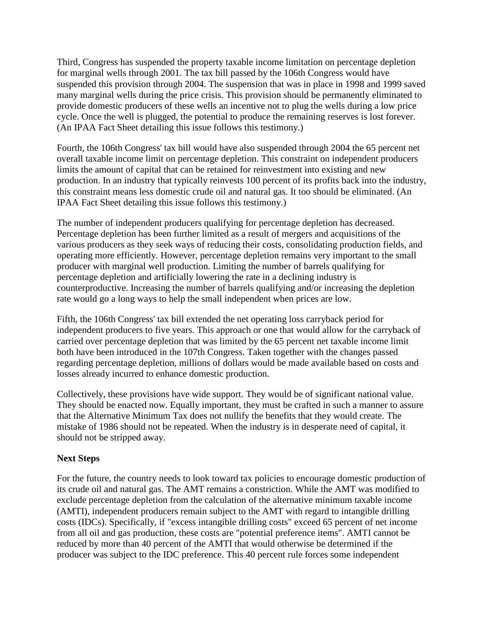Third, Congress has suspended the property taxable income limitation on percentage depletion for marginal wells through 2001. The tax bill passed by the 106th Congress would have suspended this provision through 2004. The suspension that was in place in 1998 and 1999 saved many marginal wells during the price crisis. This provision should be permanently eliminated to provide domestic producers of these wells an incentive not to plug the wells during a low price cycle. Once the well is plugged, the potential to produce the remaining reserves is lost forever. (An IPAA Fact Sheet detailing this issue follows this testimony.)

Fourth, the 106th Congress' tax bill would have also suspended through 2004 the 65 percent net overall taxable income limit on percentage depletion. This constraint on independent producers limits the amount of capital that can be retained for reinvestment into existing and new production. In an industry that typically reinvests 100 percent of its profits back into the industry, this constraint means less domestic crude oil and natural gas. It too should be eliminated. (An IPAA Fact Sheet detailing this issue follows this testimony.)

The number of independent producers qualifying for percentage depletion has decreased. Percentage depletion has been further limited as a result of mergers and acquisitions of the various producers as they seek ways of reducing their costs, consolidating production fields, and operating more efficiently. However, percentage depletion remains very important to the small producer with marginal well production. Limiting the number of barrels qualifying for percentage depletion and artificially lowering the rate in a declining industry is counterproductive. Increasing the number of barrels qualifying and/or increasing the depletion rate would go a long ways to help the small independent when prices are low.

Fifth, the 106th Congress' tax bill extended the net operating loss carryback period for independent producers to five years. This approach or one that would allow for the carryback of carried over percentage depletion that was limited by the 65 percent net taxable income limit both have been introduced in the 107th Congress. Taken together with the changes passed regarding percentage depletion, millions of dollars would be made available based on costs and losses already incurred to enhance domestic production.

Collectively, these provisions have wide support. They would be of significant national value. They should be enacted now. Equally important, they must be crafted in such a manner to assure that the Alternative Minimum Tax does not nullify the benefits that they would create. The mistake of 1986 should not be repeated. When the industry is in desperate need of capital, it should not be stripped away.

## **Next Steps**

For the future, the country needs to look toward tax policies to encourage domestic production of its crude oil and natural gas. The AMT remains a constriction. While the AMT was modified to exclude percentage depletion from the calculation of the alternative minimum taxable income (AMTI), independent producers remain subject to the AMT with regard to intangible drilling costs (IDCs). Specifically, if "excess intangible drilling costs" exceed 65 percent of net income from all oil and gas production, these costs are "potential preference items". AMTI cannot be reduced by more than 40 percent of the AMTI that would otherwise be determined if the producer was subject to the IDC preference. This 40 percent rule forces some independent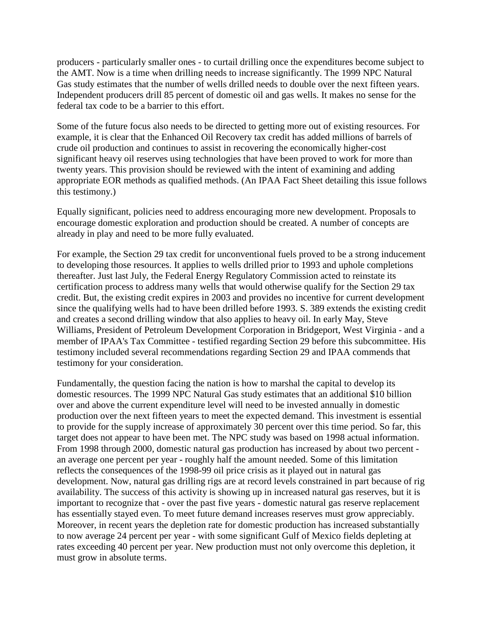producers - particularly smaller ones - to curtail drilling once the expenditures become subject to the AMT. Now is a time when drilling needs to increase significantly. The 1999 NPC Natural Gas study estimates that the number of wells drilled needs to double over the next fifteen years. Independent producers drill 85 percent of domestic oil and gas wells. It makes no sense for the federal tax code to be a barrier to this effort.

Some of the future focus also needs to be directed to getting more out of existing resources. For example, it is clear that the Enhanced Oil Recovery tax credit has added millions of barrels of crude oil production and continues to assist in recovering the economically higher-cost significant heavy oil reserves using technologies that have been proved to work for more than twenty years. This provision should be reviewed with the intent of examining and adding appropriate EOR methods as qualified methods. (An IPAA Fact Sheet detailing this issue follows this testimony.)

Equally significant, policies need to address encouraging more new development. Proposals to encourage domestic exploration and production should be created. A number of concepts are already in play and need to be more fully evaluated.

For example, the Section 29 tax credit for unconventional fuels proved to be a strong inducement to developing those resources. It applies to wells drilled prior to 1993 and uphole completions thereafter. Just last July, the Federal Energy Regulatory Commission acted to reinstate its certification process to address many wells that would otherwise qualify for the Section 29 tax credit. But, the existing credit expires in 2003 and provides no incentive for current development since the qualifying wells had to have been drilled before 1993. S. 389 extends the existing credit and creates a second drilling window that also applies to heavy oil. In early May, Steve Williams, President of Petroleum Development Corporation in Bridgeport, West Virginia - and a member of IPAA's Tax Committee - testified regarding Section 29 before this subcommittee. His testimony included several recommendations regarding Section 29 and IPAA commends that testimony for your consideration.

Fundamentally, the question facing the nation is how to marshal the capital to develop its domestic resources. The 1999 NPC Natural Gas study estimates that an additional \$10 billion over and above the current expenditure level will need to be invested annually in domestic production over the next fifteen years to meet the expected demand. This investment is essential to provide for the supply increase of approximately 30 percent over this time period. So far, this target does not appear to have been met. The NPC study was based on 1998 actual information. From 1998 through 2000, domestic natural gas production has increased by about two percent an average one percent per year - roughly half the amount needed. Some of this limitation reflects the consequences of the 1998-99 oil price crisis as it played out in natural gas development. Now, natural gas drilling rigs are at record levels constrained in part because of rig availability. The success of this activity is showing up in increased natural gas reserves, but it is important to recognize that - over the past five years - domestic natural gas reserve replacement has essentially stayed even. To meet future demand increases reserves must grow appreciably. Moreover, in recent years the depletion rate for domestic production has increased substantially to now average 24 percent per year - with some significant Gulf of Mexico fields depleting at rates exceeding 40 percent per year. New production must not only overcome this depletion, it must grow in absolute terms.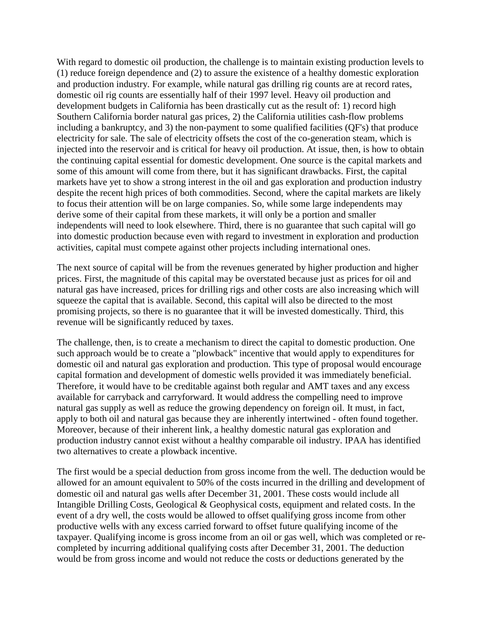With regard to domestic oil production, the challenge is to maintain existing production levels to (1) reduce foreign dependence and (2) to assure the existence of a healthy domestic exploration and production industry. For example, while natural gas drilling rig counts are at record rates, domestic oil rig counts are essentially half of their 1997 level. Heavy oil production and development budgets in California has been drastically cut as the result of: 1) record high Southern California border natural gas prices, 2) the California utilities cash-flow problems including a bankruptcy, and 3) the non-payment to some qualified facilities (QF's) that produce electricity for sale. The sale of electricity offsets the cost of the co-generation steam, which is injected into the reservoir and is critical for heavy oil production. At issue, then, is how to obtain the continuing capital essential for domestic development. One source is the capital markets and some of this amount will come from there, but it has significant drawbacks. First, the capital markets have yet to show a strong interest in the oil and gas exploration and production industry despite the recent high prices of both commodities. Second, where the capital markets are likely to focus their attention will be on large companies. So, while some large independents may derive some of their capital from these markets, it will only be a portion and smaller independents will need to look elsewhere. Third, there is no guarantee that such capital will go into domestic production because even with regard to investment in exploration and production activities, capital must compete against other projects including international ones.

The next source of capital will be from the revenues generated by higher production and higher prices. First, the magnitude of this capital may be overstated because just as prices for oil and natural gas have increased, prices for drilling rigs and other costs are also increasing which will squeeze the capital that is available. Second, this capital will also be directed to the most promising projects, so there is no guarantee that it will be invested domestically. Third, this revenue will be significantly reduced by taxes.

The challenge, then, is to create a mechanism to direct the capital to domestic production. One such approach would be to create a "plowback" incentive that would apply to expenditures for domestic oil and natural gas exploration and production. This type of proposal would encourage capital formation and development of domestic wells provided it was immediately beneficial. Therefore, it would have to be creditable against both regular and AMT taxes and any excess available for carryback and carryforward. It would address the compelling need to improve natural gas supply as well as reduce the growing dependency on foreign oil. It must, in fact, apply to both oil and natural gas because they are inherently intertwined - often found together. Moreover, because of their inherent link, a healthy domestic natural gas exploration and production industry cannot exist without a healthy comparable oil industry. IPAA has identified two alternatives to create a plowback incentive.

The first would be a special deduction from gross income from the well. The deduction would be allowed for an amount equivalent to 50% of the costs incurred in the drilling and development of domestic oil and natural gas wells after December 31, 2001. These costs would include all Intangible Drilling Costs, Geological & Geophysical costs, equipment and related costs. In the event of a dry well, the costs would be allowed to offset qualifying gross income from other productive wells with any excess carried forward to offset future qualifying income of the taxpayer. Qualifying income is gross income from an oil or gas well, which was completed or recompleted by incurring additional qualifying costs after December 31, 2001. The deduction would be from gross income and would not reduce the costs or deductions generated by the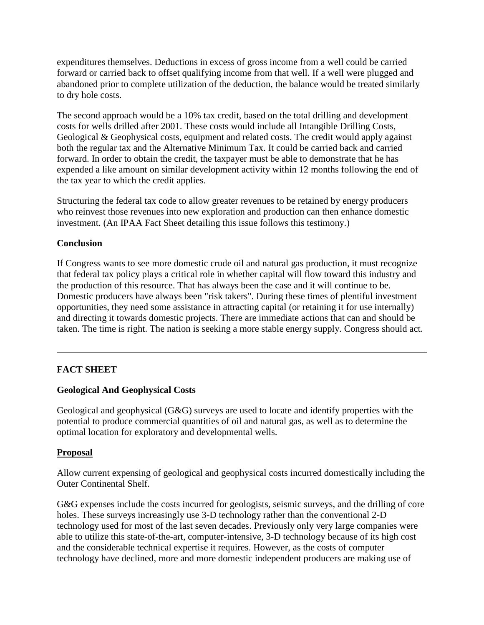expenditures themselves. Deductions in excess of gross income from a well could be carried forward or carried back to offset qualifying income from that well. If a well were plugged and abandoned prior to complete utilization of the deduction, the balance would be treated similarly to dry hole costs.

The second approach would be a 10% tax credit, based on the total drilling and development costs for wells drilled after 2001. These costs would include all Intangible Drilling Costs, Geological & Geophysical costs, equipment and related costs. The credit would apply against both the regular tax and the Alternative Minimum Tax. It could be carried back and carried forward. In order to obtain the credit, the taxpayer must be able to demonstrate that he has expended a like amount on similar development activity within 12 months following the end of the tax year to which the credit applies.

Structuring the federal tax code to allow greater revenues to be retained by energy producers who reinvest those revenues into new exploration and production can then enhance domestic investment. (An IPAA Fact Sheet detailing this issue follows this testimony.)

## **Conclusion**

If Congress wants to see more domestic crude oil and natural gas production, it must recognize that federal tax policy plays a critical role in whether capital will flow toward this industry and the production of this resource. That has always been the case and it will continue to be. Domestic producers have always been "risk takers". During these times of plentiful investment opportunities, they need some assistance in attracting capital (or retaining it for use internally) and directing it towards domestic projects. There are immediate actions that can and should be taken. The time is right. The nation is seeking a more stable energy supply. Congress should act.

## **FACT SHEET**

## **Geological And Geophysical Costs**

Geological and geophysical (G&G) surveys are used to locate and identify properties with the potential to produce commercial quantities of oil and natural gas, as well as to determine the optimal location for exploratory and developmental wells.

#### **Proposal**

Allow current expensing of geological and geophysical costs incurred domestically including the Outer Continental Shelf.

G&G expenses include the costs incurred for geologists, seismic surveys, and the drilling of core holes. These surveys increasingly use 3-D technology rather than the conventional 2-D technology used for most of the last seven decades. Previously only very large companies were able to utilize this state-of-the-art, computer-intensive, 3-D technology because of its high cost and the considerable technical expertise it requires. However, as the costs of computer technology have declined, more and more domestic independent producers are making use of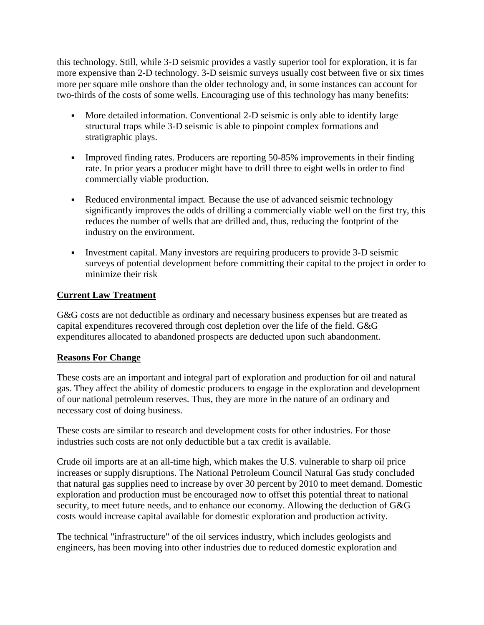this technology. Still, while 3-D seismic provides a vastly superior tool for exploration, it is far more expensive than 2-D technology. 3-D seismic surveys usually cost between five or six times more per square mile onshore than the older technology and, in some instances can account for two-thirds of the costs of some wells. Encouraging use of this technology has many benefits:

- More detailed information. Conventional 2-D seismic is only able to identify large structural traps while 3-D seismic is able to pinpoint complex formations and stratigraphic plays.
- Improved finding rates. Producers are reporting 50-85% improvements in their finding rate. In prior years a producer might have to drill three to eight wells in order to find commercially viable production.
- Reduced environmental impact. Because the use of advanced seismic technology significantly improves the odds of drilling a commercially viable well on the first try, this reduces the number of wells that are drilled and, thus, reducing the footprint of the industry on the environment.
- Investment capital. Many investors are requiring producers to provide 3-D seismic surveys of potential development before committing their capital to the project in order to minimize their risk

## **Current Law Treatment**

G&G costs are not deductible as ordinary and necessary business expenses but are treated as capital expenditures recovered through cost depletion over the life of the field. G&G expenditures allocated to abandoned prospects are deducted upon such abandonment.

## **Reasons For Change**

These costs are an important and integral part of exploration and production for oil and natural gas. They affect the ability of domestic producers to engage in the exploration and development of our national petroleum reserves. Thus, they are more in the nature of an ordinary and necessary cost of doing business.

These costs are similar to research and development costs for other industries. For those industries such costs are not only deductible but a tax credit is available.

Crude oil imports are at an all-time high, which makes the U.S. vulnerable to sharp oil price increases or supply disruptions. The National Petroleum Council Natural Gas study concluded that natural gas supplies need to increase by over 30 percent by 2010 to meet demand. Domestic exploration and production must be encouraged now to offset this potential threat to national security, to meet future needs, and to enhance our economy. Allowing the deduction of G&G costs would increase capital available for domestic exploration and production activity.

The technical "infrastructure" of the oil services industry, which includes geologists and engineers, has been moving into other industries due to reduced domestic exploration and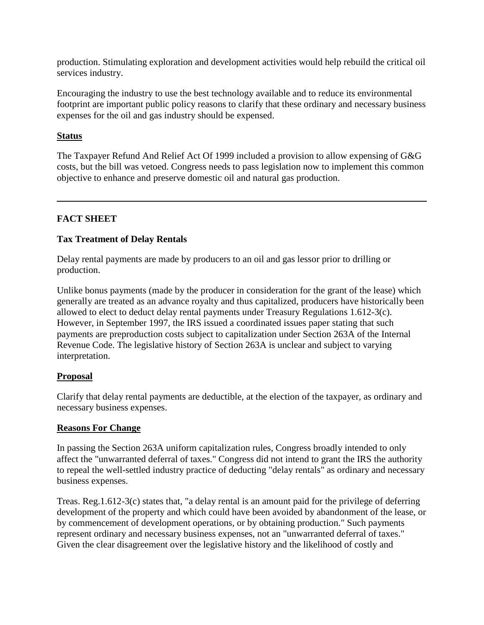production. Stimulating exploration and development activities would help rebuild the critical oil services industry.

Encouraging the industry to use the best technology available and to reduce its environmental footprint are important public policy reasons to clarify that these ordinary and necessary business expenses for the oil and gas industry should be expensed.

## **Status**

The Taxpayer Refund And Relief Act Of 1999 included a provision to allow expensing of G&G costs, but the bill was vetoed. Congress needs to pass legislation now to implement this common objective to enhance and preserve domestic oil and natural gas production.

# **FACT SHEET**

# **Tax Treatment of Delay Rentals**

Delay rental payments are made by producers to an oil and gas lessor prior to drilling or production.

Unlike bonus payments (made by the producer in consideration for the grant of the lease) which generally are treated as an advance royalty and thus capitalized, producers have historically been allowed to elect to deduct delay rental payments under Treasury Regulations 1.612-3(c). However, in September 1997, the IRS issued a coordinated issues paper stating that such payments are preproduction costs subject to capitalization under Section 263A of the Internal Revenue Code. The legislative history of Section 263A is unclear and subject to varying interpretation.

## **Proposal**

Clarify that delay rental payments are deductible, at the election of the taxpayer, as ordinary and necessary business expenses.

## **Reasons For Change**

In passing the Section 263A uniform capitalization rules, Congress broadly intended to only affect the "unwarranted deferral of taxes." Congress did not intend to grant the IRS the authority to repeal the well-settled industry practice of deducting "delay rentals" as ordinary and necessary business expenses.

Treas. Reg.1.612-3(c) states that, "a delay rental is an amount paid for the privilege of deferring development of the property and which could have been avoided by abandonment of the lease, or by commencement of development operations, or by obtaining production." Such payments represent ordinary and necessary business expenses, not an "unwarranted deferral of taxes." Given the clear disagreement over the legislative history and the likelihood of costly and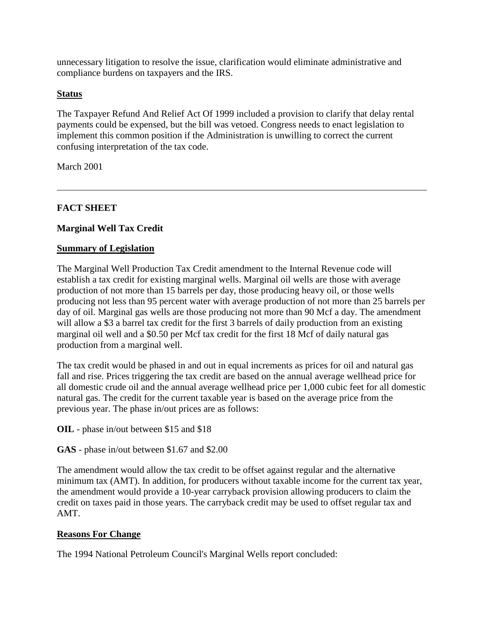unnecessary litigation to resolve the issue, clarification would eliminate administrative and compliance burdens on taxpayers and the IRS.

## **Status**

The Taxpayer Refund And Relief Act Of 1999 included a provision to clarify that delay rental payments could be expensed, but the bill was vetoed. Congress needs to enact legislation to implement this common position if the Administration is unwilling to correct the current confusing interpretation of the tax code.

March 2001

## **FACT SHEET**

## **Marginal Well Tax Credit**

#### **Summary of Legislation**

The Marginal Well Production Tax Credit amendment to the Internal Revenue code will establish a tax credit for existing marginal wells. Marginal oil wells are those with average production of not more than 15 barrels per day, those producing heavy oil, or those wells producing not less than 95 percent water with average production of not more than 25 barrels per day of oil. Marginal gas wells are those producing not more than 90 Mcf a day. The amendment will allow a \$3 a barrel tax credit for the first 3 barrels of daily production from an existing marginal oil well and a \$0.50 per Mcf tax credit for the first 18 Mcf of daily natural gas production from a marginal well.

The tax credit would be phased in and out in equal increments as prices for oil and natural gas fall and rise. Prices triggering the tax credit are based on the annual average wellhead price for all domestic crude oil and the annual average wellhead price per 1,000 cubic feet for all domestic natural gas. The credit for the current taxable year is based on the average price from the previous year. The phase in/out prices are as follows:

**OIL** - phase in/out between \$15 and \$18

**GAS** - phase in/out between \$1.67 and \$2.00

The amendment would allow the tax credit to be offset against regular and the alternative minimum tax (AMT). In addition, for producers without taxable income for the current tax year, the amendment would provide a 10-year carryback provision allowing producers to claim the credit on taxes paid in those years. The carryback credit may be used to offset regular tax and AMT.

#### **Reasons For Change**

The 1994 National Petroleum Council's Marginal Wells report concluded: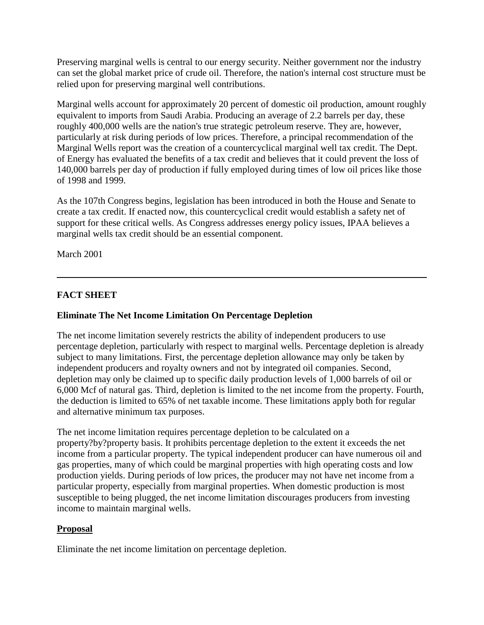Preserving marginal wells is central to our energy security. Neither government nor the industry can set the global market price of crude oil. Therefore, the nation's internal cost structure must be relied upon for preserving marginal well contributions.

Marginal wells account for approximately 20 percent of domestic oil production, amount roughly equivalent to imports from Saudi Arabia. Producing an average of 2.2 barrels per day, these roughly 400,000 wells are the nation's true strategic petroleum reserve. They are, however, particularly at risk during periods of low prices. Therefore, a principal recommendation of the Marginal Wells report was the creation of a countercyclical marginal well tax credit. The Dept. of Energy has evaluated the benefits of a tax credit and believes that it could prevent the loss of 140,000 barrels per day of production if fully employed during times of low oil prices like those of 1998 and 1999.

As the 107th Congress begins, legislation has been introduced in both the House and Senate to create a tax credit. If enacted now, this countercyclical credit would establish a safety net of support for these critical wells. As Congress addresses energy policy issues, IPAA believes a marginal wells tax credit should be an essential component.

March 2001

# **FACT SHEET**

## **Eliminate The Net Income Limitation On Percentage Depletion**

The net income limitation severely restricts the ability of independent producers to use percentage depletion, particularly with respect to marginal wells. Percentage depletion is already subject to many limitations. First, the percentage depletion allowance may only be taken by independent producers and royalty owners and not by integrated oil companies. Second, depletion may only be claimed up to specific daily production levels of 1,000 barrels of oil or 6,000 Mcf of natural gas. Third, depletion is limited to the net income from the property. Fourth, the deduction is limited to 65% of net taxable income. These limitations apply both for regular and alternative minimum tax purposes.

The net income limitation requires percentage depletion to be calculated on a property?by?property basis. It prohibits percentage depletion to the extent it exceeds the net income from a particular property. The typical independent producer can have numerous oil and gas properties, many of which could be marginal properties with high operating costs and low production yields. During periods of low prices, the producer may not have net income from a particular property, especially from marginal properties. When domestic production is most susceptible to being plugged, the net income limitation discourages producers from investing income to maintain marginal wells.

## **Proposal**

Eliminate the net income limitation on percentage depletion.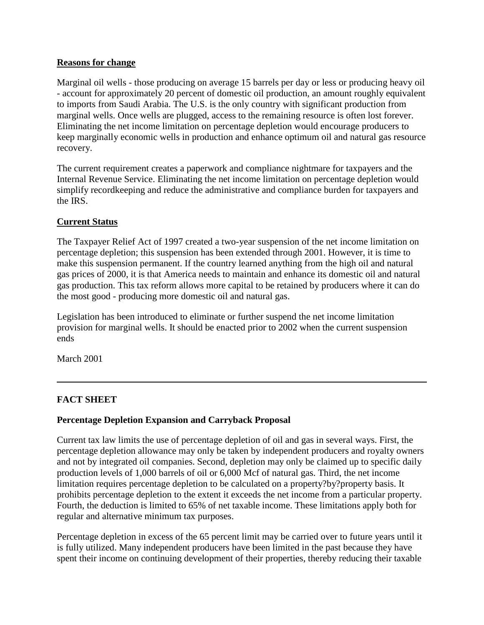## **Reasons for change**

Marginal oil wells - those producing on average 15 barrels per day or less or producing heavy oil - account for approximately 20 percent of domestic oil production, an amount roughly equivalent to imports from Saudi Arabia. The U.S. is the only country with significant production from marginal wells. Once wells are plugged, access to the remaining resource is often lost forever. Eliminating the net income limitation on percentage depletion would encourage producers to keep marginally economic wells in production and enhance optimum oil and natural gas resource recovery.

The current requirement creates a paperwork and compliance nightmare for taxpayers and the Internal Revenue Service. Eliminating the net income limitation on percentage depletion would simplify recordkeeping and reduce the administrative and compliance burden for taxpayers and the IRS.

## **Current Status**

The Taxpayer Relief Act of 1997 created a two-year suspension of the net income limitation on percentage depletion; this suspension has been extended through 2001. However, it is time to make this suspension permanent. If the country learned anything from the high oil and natural gas prices of 2000, it is that America needs to maintain and enhance its domestic oil and natural gas production. This tax reform allows more capital to be retained by producers where it can do the most good - producing more domestic oil and natural gas.

Legislation has been introduced to eliminate or further suspend the net income limitation provision for marginal wells. It should be enacted prior to 2002 when the current suspension ends

March 2001

# **FACT SHEET**

## **Percentage Depletion Expansion and Carryback Proposal**

Current tax law limits the use of percentage depletion of oil and gas in several ways. First, the percentage depletion allowance may only be taken by independent producers and royalty owners and not by integrated oil companies. Second, depletion may only be claimed up to specific daily production levels of 1,000 barrels of oil or 6,000 Mcf of natural gas. Third, the net income limitation requires percentage depletion to be calculated on a property?by?property basis. It prohibits percentage depletion to the extent it exceeds the net income from a particular property. Fourth, the deduction is limited to 65% of net taxable income. These limitations apply both for regular and alternative minimum tax purposes.

Percentage depletion in excess of the 65 percent limit may be carried over to future years until it is fully utilized. Many independent producers have been limited in the past because they have spent their income on continuing development of their properties, thereby reducing their taxable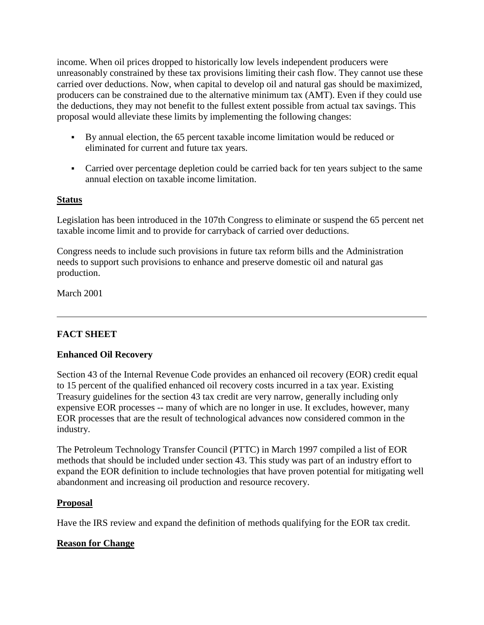income. When oil prices dropped to historically low levels independent producers were unreasonably constrained by these tax provisions limiting their cash flow. They cannot use these carried over deductions. Now, when capital to develop oil and natural gas should be maximized, producers can be constrained due to the alternative minimum tax (AMT). Even if they could use the deductions, they may not benefit to the fullest extent possible from actual tax savings. This proposal would alleviate these limits by implementing the following changes:

- By annual election, the 65 percent taxable income limitation would be reduced or eliminated for current and future tax years.
- Carried over percentage depletion could be carried back for ten years subject to the same annual election on taxable income limitation.

# **Status**

Legislation has been introduced in the 107th Congress to eliminate or suspend the 65 percent net taxable income limit and to provide for carryback of carried over deductions.

Congress needs to include such provisions in future tax reform bills and the Administration needs to support such provisions to enhance and preserve domestic oil and natural gas production.

March 2001

# **FACT SHEET**

## **Enhanced Oil Recovery**

Section 43 of the Internal Revenue Code provides an enhanced oil recovery (EOR) credit equal to 15 percent of the qualified enhanced oil recovery costs incurred in a tax year. Existing Treasury guidelines for the section 43 tax credit are very narrow, generally including only expensive EOR processes -- many of which are no longer in use. It excludes, however, many EOR processes that are the result of technological advances now considered common in the industry.

The Petroleum Technology Transfer Council (PTTC) in March 1997 compiled a list of EOR methods that should be included under section 43. This study was part of an industry effort to expand the EOR definition to include technologies that have proven potential for mitigating well abandonment and increasing oil production and resource recovery.

## **Proposal**

Have the IRS review and expand the definition of methods qualifying for the EOR tax credit.

## **Reason for Change**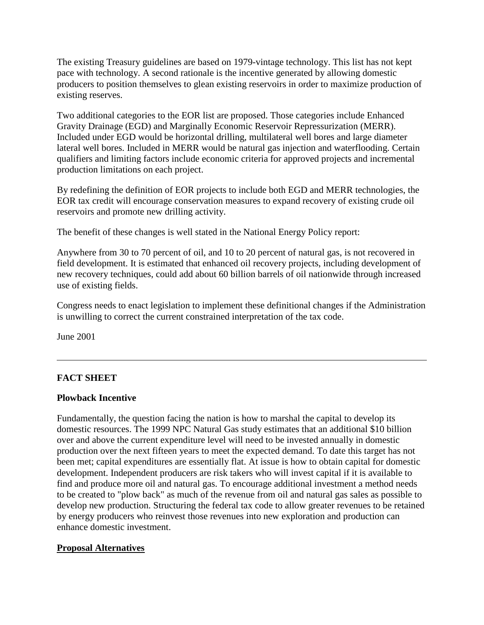The existing Treasury guidelines are based on 1979-vintage technology. This list has not kept pace with technology. A second rationale is the incentive generated by allowing domestic producers to position themselves to glean existing reservoirs in order to maximize production of existing reserves.

Two additional categories to the EOR list are proposed. Those categories include Enhanced Gravity Drainage (EGD) and Marginally Economic Reservoir Repressurization (MERR). Included under EGD would be horizontal drilling, multilateral well bores and large diameter lateral well bores. Included in MERR would be natural gas injection and waterflooding. Certain qualifiers and limiting factors include economic criteria for approved projects and incremental production limitations on each project.

By redefining the definition of EOR projects to include both EGD and MERR technologies, the EOR tax credit will encourage conservation measures to expand recovery of existing crude oil reservoirs and promote new drilling activity.

The benefit of these changes is well stated in the National Energy Policy report:

Anywhere from 30 to 70 percent of oil, and 10 to 20 percent of natural gas, is not recovered in field development. It is estimated that enhanced oil recovery projects, including development of new recovery techniques, could add about 60 billion barrels of oil nationwide through increased use of existing fields.

Congress needs to enact legislation to implement these definitional changes if the Administration is unwilling to correct the current constrained interpretation of the tax code.

June 2001

# **FACT SHEET**

#### **Plowback Incentive**

Fundamentally, the question facing the nation is how to marshal the capital to develop its domestic resources. The 1999 NPC Natural Gas study estimates that an additional \$10 billion over and above the current expenditure level will need to be invested annually in domestic production over the next fifteen years to meet the expected demand. To date this target has not been met; capital expenditures are essentially flat. At issue is how to obtain capital for domestic development. Independent producers are risk takers who will invest capital if it is available to find and produce more oil and natural gas. To encourage additional investment a method needs to be created to "plow back" as much of the revenue from oil and natural gas sales as possible to develop new production. Structuring the federal tax code to allow greater revenues to be retained by energy producers who reinvest those revenues into new exploration and production can enhance domestic investment.

## **Proposal Alternatives**